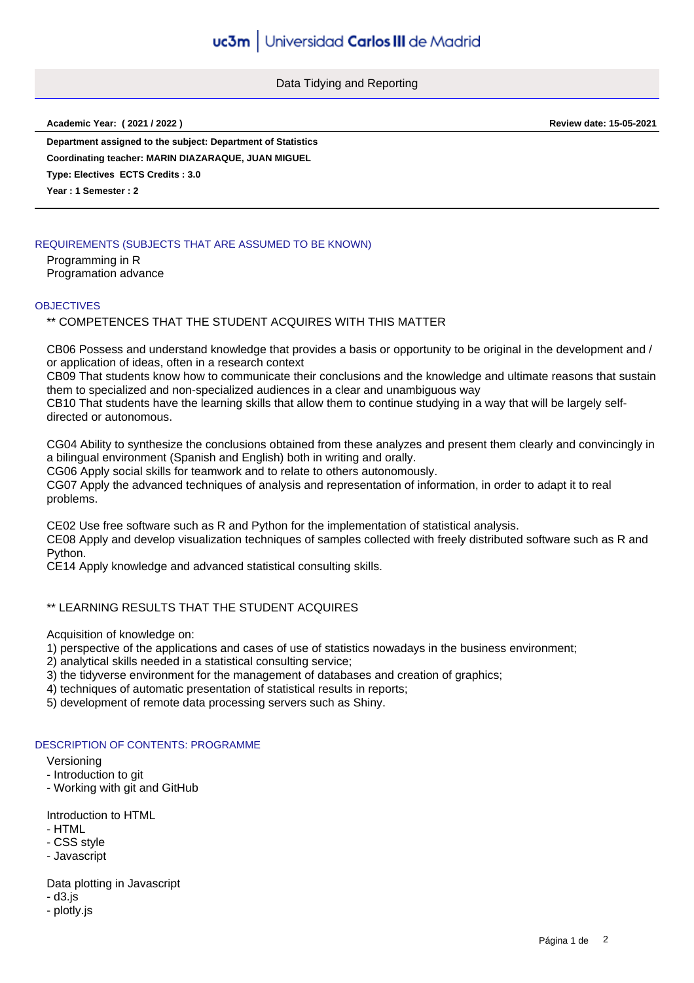Data Tidying and Reporting

**Academic Year: ( 2021 / 2022 ) Review date: 15-05-2021**

**Department assigned to the subject: Department of Statistics**

**Coordinating teacher: MARIN DIAZARAQUE, JUAN MIGUEL**

**Type: Electives ECTS Credits : 3.0**

**Year : 1 Semester : 2**

# REQUIREMENTS (SUBJECTS THAT ARE ASSUMED TO BE KNOWN)

Programming in R Programation advance

### **OBJECTIVES**

\*\* COMPETENCES THAT THE STUDENT ACQUIRES WITH THIS MATTER

CB06 Possess and understand knowledge that provides a basis or opportunity to be original in the development and / or application of ideas, often in a research context

CB09 That students know how to communicate their conclusions and the knowledge and ultimate reasons that sustain them to specialized and non-specialized audiences in a clear and unambiguous way

CB10 That students have the learning skills that allow them to continue studying in a way that will be largely selfdirected or autonomous.

CG04 Ability to synthesize the conclusions obtained from these analyzes and present them clearly and convincingly in a bilingual environment (Spanish and English) both in writing and orally.

CG06 Apply social skills for teamwork and to relate to others autonomously.

CG07 Apply the advanced techniques of analysis and representation of information, in order to adapt it to real problems.

CE02 Use free software such as R and Python for the implementation of statistical analysis.

CE08 Apply and develop visualization techniques of samples collected with freely distributed software such as R and Python.

CE14 Apply knowledge and advanced statistical consulting skills.

# \*\* LEARNING RESULTS THAT THE STUDENT ACQUIRES

Acquisition of knowledge on:

1) perspective of the applications and cases of use of statistics nowadays in the business environment;

2) analytical skills needed in a statistical consulting service;

- 3) the tidyverse environment for the management of databases and creation of graphics;
- 4) techniques of automatic presentation of statistical results in reports;

5) development of remote data processing servers such as Shiny.

### DESCRIPTION OF CONTENTS: PROGRAMME

#### Versioning

- Introduction to git
- Working with git and GitHub

Introduction to HTML

- HTML
- CSS style
- Javascript

Data plotting in Javascript

- d3.js
- plotly.js